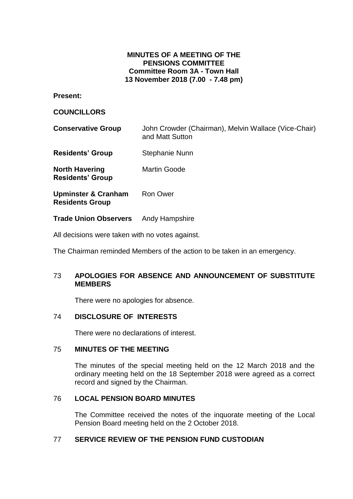# **MINUTES OF A MEETING OF THE PENSIONS COMMITTEE Committee Room 3A - Town Hall 13 November 2018 (7.00 - 7.48 pm)**

**Present:**

### **COUNCILLORS**

| John Crowder (Chairman), Melvin Wallace (Vice-Chair)<br>and Matt Sutton |
|-------------------------------------------------------------------------|
| Stephanie Nunn                                                          |
| <b>Martin Goode</b>                                                     |
| <b>Ron Ower</b>                                                         |
|                                                                         |

**Trade Union Observers** Andy Hampshire

All decisions were taken with no votes against.

The Chairman reminded Members of the action to be taken in an emergency.

# 73 **APOLOGIES FOR ABSENCE AND ANNOUNCEMENT OF SUBSTITUTE MEMBERS**

There were no apologies for absence.

# 74 **DISCLOSURE OF INTERESTS**

There were no declarations of interest.

# 75 **MINUTES OF THE MEETING**

The minutes of the special meeting held on the 12 March 2018 and the ordinary meeting held on the 18 September 2018 were agreed as a correct record and signed by the Chairman.

# 76 **LOCAL PENSION BOARD MINUTES**

The Committee received the notes of the inquorate meeting of the Local Pension Board meeting held on the 2 October 2018.

# 77 **SERVICE REVIEW OF THE PENSION FUND CUSTODIAN**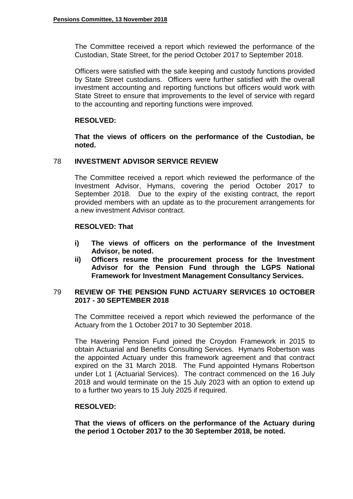The Committee received a report which reviewed the performance of the Custodian, State Street, for the period October 2017 to September 2018.

Officers were satisfied with the safe keeping and custody functions provided by State Street custodians. Officers were further satisfied with the overall investment accounting and reporting functions but officers would work with State Street to ensure that improvements to the level of service with regard to the accounting and reporting functions were improved.

# **RESOLVED:**

**That the views of officers on the performance of the Custodian, be noted.**

### 78 **INVESTMENT ADVISOR SERVICE REVIEW**

The Committee received a report which reviewed the performance of the Investment Advisor, Hymans, covering the period October 2017 to September 2018. Due to the expiry of the existing contract, the report provided members with an update as to the procurement arrangements for a new investment Advisor contract.

### **RESOLVED: That**

- **i) The views of officers on the performance of the Investment Advisor, be noted.**
- **ii) Officers resume the procurement process for the Investment Advisor for the Pension Fund through the LGPS National Framework for Investment Management Consultancy Services.**

# 79 **REVIEW OF THE PENSION FUND ACTUARY SERVICES 10 OCTOBER 2017 - 30 SEPTEMBER 2018**

The Committee received a report which reviewed the performance of the Actuary from the 1 October 2017 to 30 September 2018.

The Havering Pension Fund joined the Croydon Framework in 2015 to obtain Actuarial and Benefits Consulting Services. Hymans Robertson was the appointed Actuary under this framework agreement and that contract expired on the 31 March 2018. The Fund appointed Hymans Robertson under Lot 1 (Actuarial Services). The contract commenced on the 16 July 2018 and would terminate on the 15 July 2023 with an option to extend up to a further two years to 15 July 2025 if required.

#### **RESOLVED:**

**That the views of officers on the performance of the Actuary during the period 1 October 2017 to the 30 September 2018, be noted.**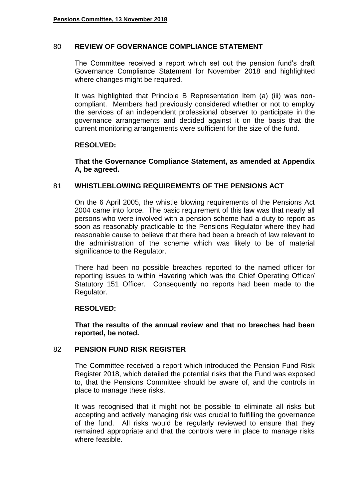#### 80 **REVIEW OF GOVERNANCE COMPLIANCE STATEMENT**

The Committee received a report which set out the pension fund's draft Governance Compliance Statement for November 2018 and highlighted where changes might be required.

It was highlighted that Principle B Representation Item (a) (iii) was noncompliant. Members had previously considered whether or not to employ the services of an independent professional observer to participate in the governance arrangements and decided against it on the basis that the current monitoring arrangements were sufficient for the size of the fund.

### **RESOLVED:**

**That the Governance Compliance Statement, as amended at Appendix A, be agreed.**

### 81 **WHISTLEBLOWING REQUIREMENTS OF THE PENSIONS ACT**

On the 6 April 2005, the whistle blowing requirements of the Pensions Act 2004 came into force. The basic requirement of this law was that nearly all persons who were involved with a pension scheme had a duty to report as soon as reasonably practicable to the Pensions Regulator where they had reasonable cause to believe that there had been a breach of law relevant to the administration of the scheme which was likely to be of material significance to the Regulator.

There had been no possible breaches reported to the named officer for reporting issues to within Havering which was the Chief Operating Officer/ Statutory 151 Officer. Consequently no reports had been made to the Regulator.

#### **RESOLVED:**

**That the results of the annual review and that no breaches had been reported, be noted.**

#### 82 **PENSION FUND RISK REGISTER**

The Committee received a report which introduced the Pension Fund Risk Register 2018, which detailed the potential risks that the Fund was exposed to, that the Pensions Committee should be aware of, and the controls in place to manage these risks.

It was recognised that it might not be possible to eliminate all risks but accepting and actively managing risk was crucial to fulfilling the governance of the fund. All risks would be regularly reviewed to ensure that they remained appropriate and that the controls were in place to manage risks where feasible.